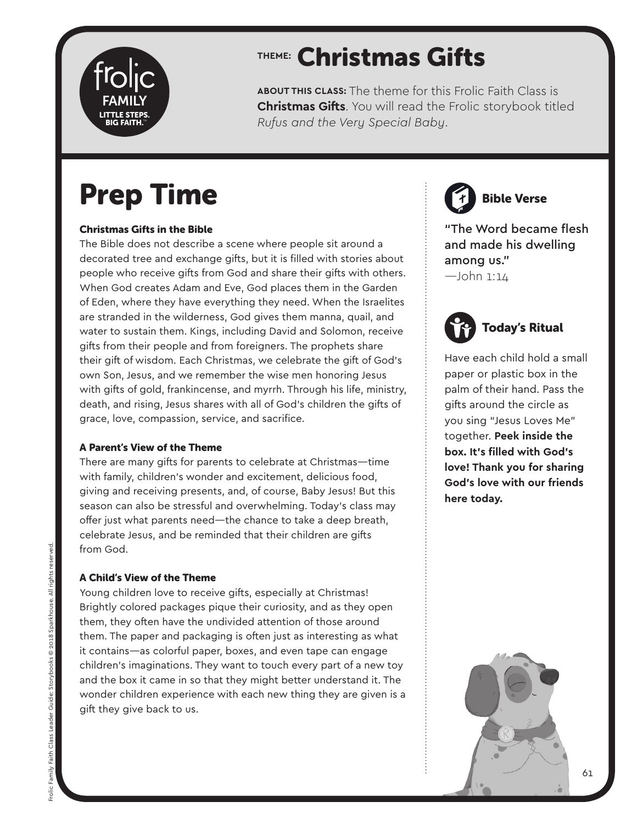

## **THEME:** Christmas Gifts

**ABOUT THIS CLASS:** The theme for this Frolic Faith Class is **Christmas Gifts**. You will read the Frolic storybook titled *Rufus and the Very Special Baby*.

## Prep Time

#### Christmas Gifts in the Bible

The Bible does not describe a scene where people sit around a decorated tree and exchange gifts, but it is filled with stories about people who receive gifts from God and share their gifts with others. When God creates Adam and Eve, God places them in the Garden of Eden, where they have everything they need. When the Israelites are stranded in the wilderness, God gives them manna, quail, and water to sustain them. Kings, including David and Solomon, receive gifts from their people and from foreigners. The prophets share their gift of wisdom. Each Christmas, we celebrate the gift of God's own Son, Jesus, and we remember the wise men honoring Jesus with gifts of gold, frankincense, and myrrh. Through his life, ministry, death, and rising, Jesus shares with all of God's children the gifts of grace, love, compassion, service, and sacrifice.

#### A Parent's View of the Theme

There are many gifts for parents to celebrate at Christmas—time with family, children's wonder and excitement, delicious food, giving and receiving presents, and, of course, Baby Jesus! But this season can also be stressful and overwhelming. Today's class may offer just what parents need—the chance to take a deep breath, celebrate Jesus, and be reminded that their children are gifts from God.

#### A Child's View of the Theme

Young children love to receive gifts, especially at Christmas! Brightly colored packages pique their curiosity, and as they open them, they often have the undivided attention of those around them. The paper and packaging is often just as interesting as what it contains—as colorful paper, boxes, and even tape can engage children's imaginations. They want to touch every part of a new toy and the box it came in so that they might better understand it. The wonder children experience with each new thing they are given is a gift they give back to us.

Bible Verse

"The Word became flesh and made his dwelling among us." —John 1:14

## Today's Ritual

Have each child hold a small paper or plastic box in the palm of their hand. Pass the gifts around the circle as you sing "Jesus Loves Me" together. **Peek inside the box. It's filled with God's love! Thank you for sharing God's love with our friends here today.** 

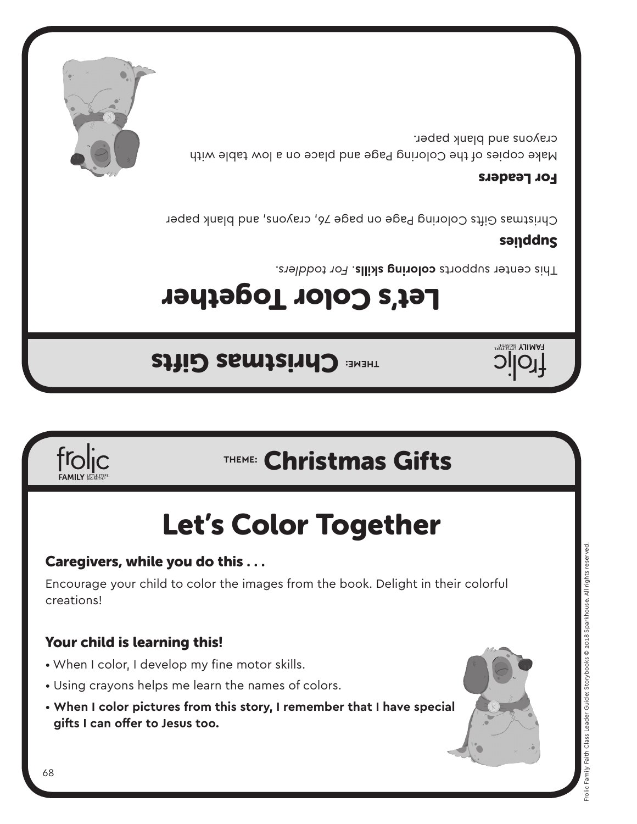**THEME: Christmas Gifts** 

Let's Color Together

This center supports **coloring skills**. For toddlers.

### sanddns

**HAMILY BIGRATHE** 

Christmas Gifts Coloring Page on page 76, crayons, and blank paper

#### For Leaders

Make copies of the Coloring Page and place on a low table with crayons and blank paper.



Caregivers, while you do this . . .

- When I color, I develop my fine motor skills.
- Using crayons helps me learn the names of colors.
- **When I color pictures from this story, I remember that I have special gifts I can offer to Jesus too.**

Encourage your child to color the images from the book. Delight in their colorful





creations!





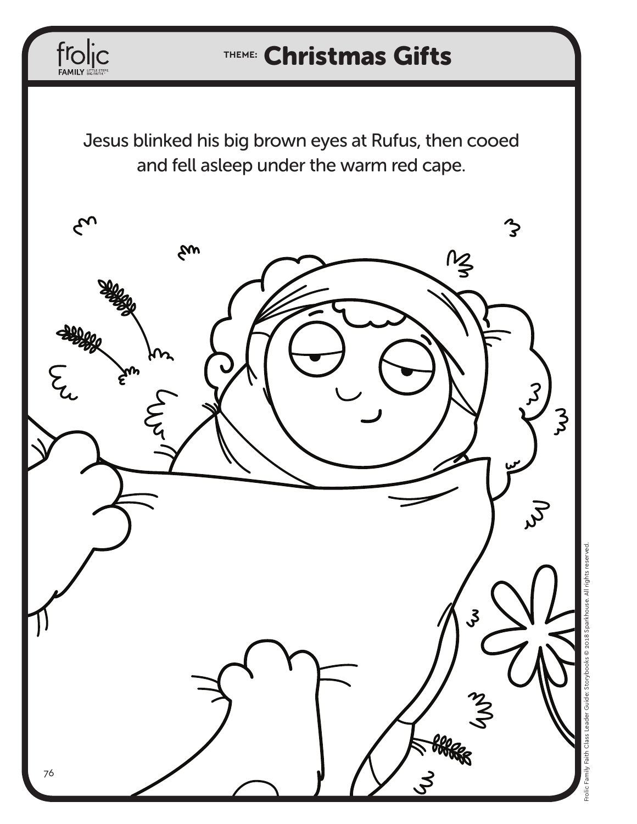## **THEME:** Christmas Gifts

Jesus blinked his big brown eyes at Rufus, then cooed and fell asleep under the warm red cape.

 $\mathop{\hbox{frol}}\limits_{\hbox{FAMILY} } \prod_{\rm SFRRRTR}$ 

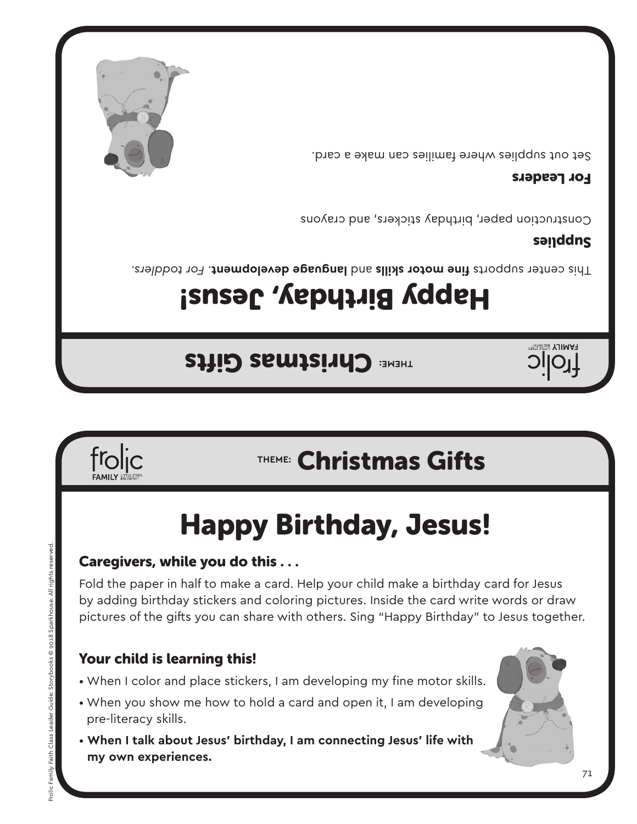- When I color and place stickers, I am developing my fine motor skills.
- pre-literacy skills.
- **When I talk about Jesus' birthday, I am connecting Jesus' life with my own experiences.**
- 
- 
- When you show me how to hold a card and open it, I am developing
- 
- Your child is learning this!

# pictures of the gifts you can share with others. Sing "Happy Birthday" to Jesus together.

# Caregivers, while you do this . . .

Fold the paper in half to make a card. Help your child make a birthday card for Jesus by adding birthday stickers and coloring pictures. Inside the card write words or draw

# Happy Birthday, Jesus!



Frolic Family Faith Class Leader Guide: Storybooks © 2018 Sparkhouse. All rights reserved.

Guide:

Frolic Family Faith Class I

ybooks @ 2018 Sparkhouse. All rights

## **THEME:** Christmas Gifts

Happy Birthday, Jesus!

**THEME: Christmas Gifts** 

For toddlers and the motor skills and language development. For toddlers.

### sanddns

**FAMILY** 

Construction paper, birthday stickers, and crayons

#### For Leaders

Set out supplies where families can make a card.

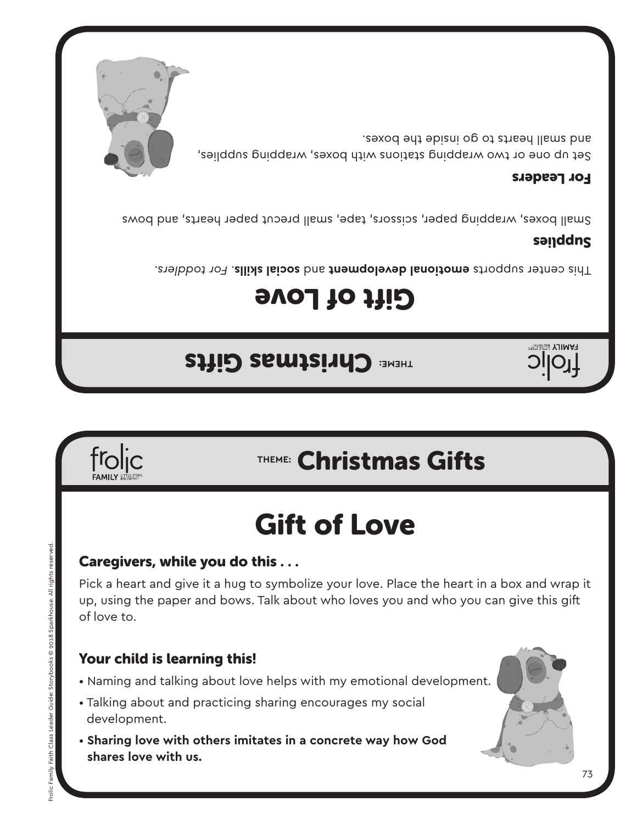### Your child is learning this!

Caregivers, while you do this . . .

- Naming and talking about love helps with my emotional development.
- development.
- **Sharing love with others imitates in a concrete way how God shares love with us.**

froljc

- 
- Talking about and practicing sharing encourages my social

Frolic Family Faith Class Leader Guide: Storybooks © 2018 Sparkhouse. All rights reserved.

rolic Family Faith Class Leader Guide:

Storybooks @ 2018 Sparkhouse. All rights rea

Pick a heart and give it a hug to symbolize your love. Place the heart in a box and wrap it up, using the paper and bows. Talk about who loves you and who you can give this gift of love to.

## Gift of Love

## **THEME:** Christmas Gifts

## **THEME:** Christmas Gifts

*TAMILY* 

## Gift of Love

*For toddlers. This center supports emotional development* and social skills. For toddlers.

#### sanddns

Small boxes, wrapping paper, scissors, tape, small precut paper hearts, and bows

#### For Leaders

Set up one or two wrapping stations with boxes, wrapping supplies, and swall hearts to go inside the boxes.

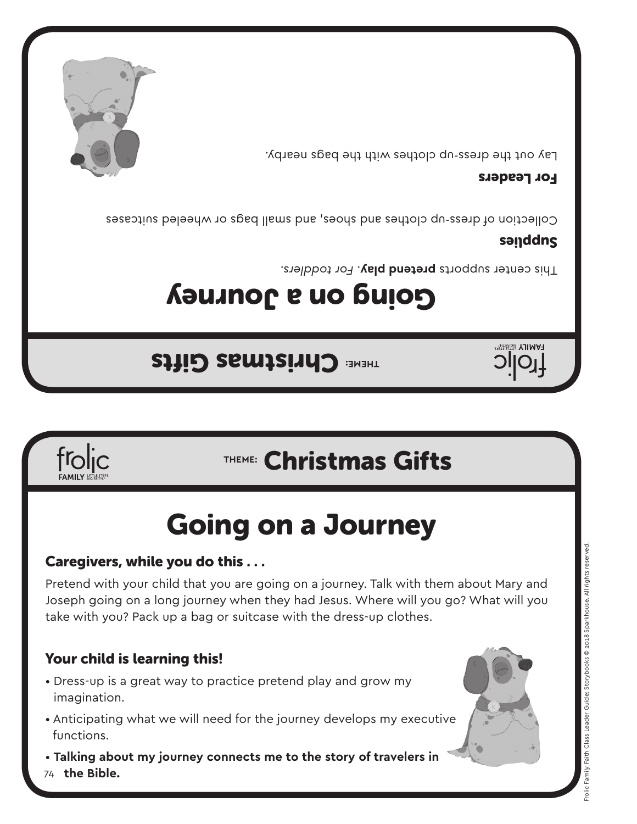

Pretend with your child that you are going on a journey. Talk with them about Mary and Joseph going on a long journey when they had Jesus. Where will you go? What will you take with you? Pack up a bag or suitcase with the dress-up clothes.

### Your child is learning this!

frolic

Caregivers, while you do this . . .

- Dress-up is a great way to practice pretend play and grow my imagination.
- Anticipating what we will need for the journey develops my executive functions.
- 74  **the Bible.** • **Talking about my journey connects me to the story of travelers in**



## Going on a Journey

## **THEME:** Christmas Gifts

## **THEME: Christmas Gifts**

## Going on a Journey

This center supports **pretend play**. For toddlers.

#### sanddns

**HAMILY BIG FAITH** 

Collection of dress-up clothes and shoes, and small bags or wheeled suitcases

#### For Leaders

Lay out the dress-up clothes with the bags nearby.